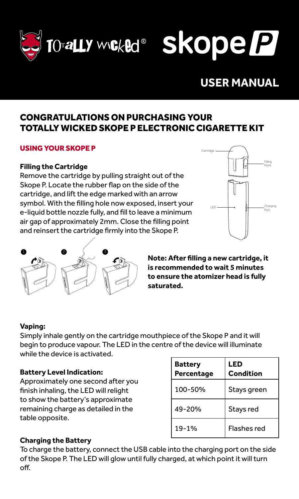

**DraLLY Worked®** Skope P

# **USER MANUAL**

# CONGRATULATIONS ON PURCHASING YOUR TOTALLY WICKED SKOPE P ELECTRONIC CIGARETTE KIT

## USING YOUR SKOPE P

#### **Filling the Cartridge**

Remove the cartridge by pulling straight out of the Skope P. Locate the rubber flap on the side of the cartridge, and lift the edge marked with an arrow symbol. With the filling hole now exposed, insert your e-liquid bottle nozzle fully, and fill to leave a minimum air gap of approximately 2mm. Close the filling point and reinsert the cartridge firmly into the Skope P.





**Note: After filling a new cartridge, it is recommended to wait 5 minutes to ensure the atomizer head is fully saturated.** 

#### **Vaping:**

Simply inhale gently on the cartridge mouthpiece of the Skope P and it will begin to produce vapour. The LED in the centre of the device will illuminate while the device is activated.

#### **Battery Level Indication:**

Approximately one second after you finish inhaling, the LED will relight to show the battery's approximate remaining charge as detailed in the table opposite.

| <b>Battery</b><br>Percentage | LED<br>Condition |
|------------------------------|------------------|
| 100-50%                      | Stays green      |
| 49-20%                       | Stays red        |
| 19-1%                        | Flashes red      |

# **Charging the Battery**

To charge the battery, connect the USB cable into the charging port on the side of the Skope P. The LED will glow until fully charged, at which point it will turn off.